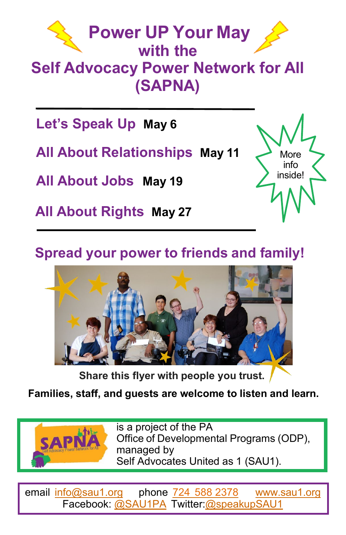

**Let's Speak Up May 6** 

**All About Relationships May 11**

**All About Jobs May 19**

**All About Rights May 27**

## **Spread your power to friends and family!**



**Share this flyer with people you trust.**

**Families, staff, and guests are welcome to listen and learn.**



is a project of the PA Office of Developmental Programs (ODP), managed by Self Advocates United as 1 (SAU1).

More info inside!

email [info@sau1.org](mailto:info@sau1.org) phone 724 [588 2378](tel:7245882378) [www.sau1.org](https://sau1.org/) Facebook: [@SAU1PA](https://www.facebook.com/SAU1PA) Twitter[:@speakupSAU1](https://twitter.com/speakupSAU1)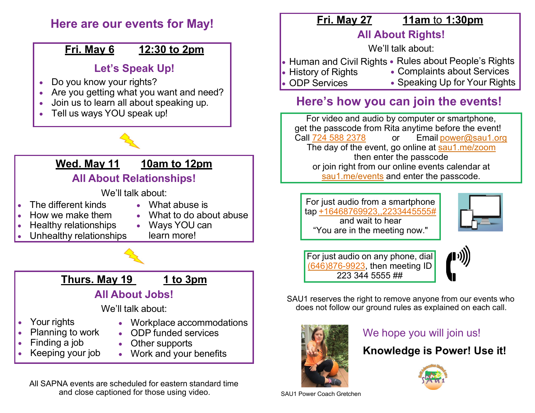

All SAPNA events are scheduled for eastern standard time and close captioned for those using video. SAU1 Power Coach Gretchen